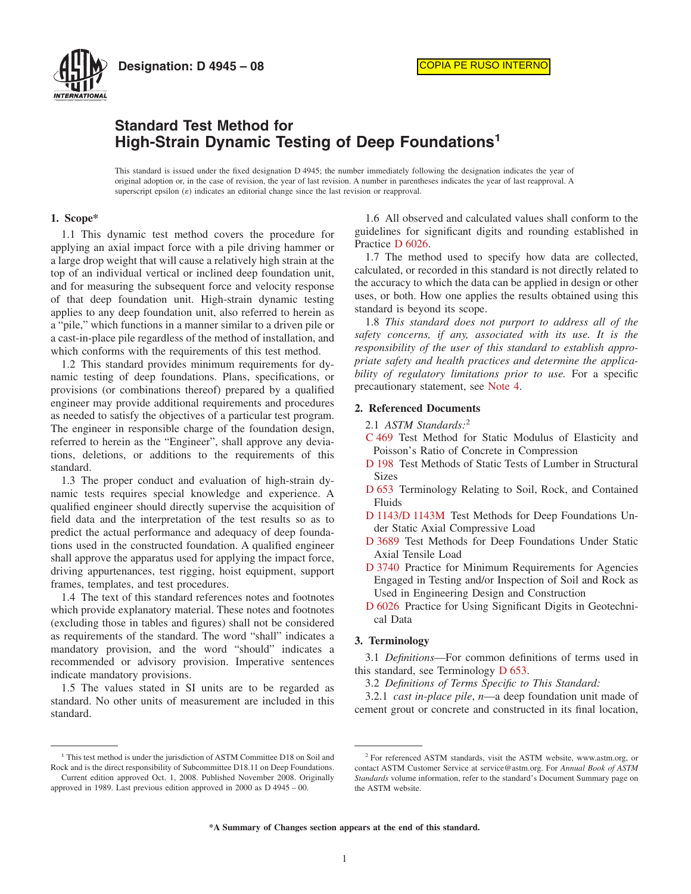

**Designation: D 4945 – 08**

# **Standard Test Method for High-Strain Dynamic Testing of Deep Foundations<sup>1</sup>**

This standard is issued under the fixed designation D 4945; the number immediately following the designation indicates the year of original adoption or, in the case of revision, the year of last revision. A number in parentheses indicates the year of last reapproval. A superscript epsilon  $(\varepsilon)$  indicates an editorial change since the last revision or reapproval.

# **1. Scope\***

1.1 This dynamic test method covers the procedure for applying an axial impact force with a pile driving hammer or a large drop weight that will cause a relatively high strain at the top of an individual vertical or inclined deep foundation unit, and for measuring the subsequent force and velocity response of that deep foundation unit. High-strain dynamic testing applies to any deep foundation unit, also referred to herein as a "pile," which functions in a manner similar to a driven pile or a cast-in-place pile regardless of the method of installation, and which conforms with the requirements of this test method.

1.2 This standard provides minimum requirements for dynamic testing of deep foundations. Plans, specifications, or provisions (or combinations thereof) prepared by a qualified engineer may provide additional requirements and procedures as needed to satisfy the objectives of a particular test program. The engineer in responsible charge of the foundation design, referred to herein as the "Engineer", shall approve any deviations, deletions, or additions to the requirements of this standard.

1.3 The proper conduct and evaluation of high-strain dynamic tests requires special knowledge and experience. A qualified engineer should directly supervise the acquisition of field data and the interpretation of the test results so as to predict the actual performance and adequacy of deep foundations used in the constructed foundation. A qualified engineer shall approve the apparatus used for applying the impact force, driving appurtenances, test rigging, hoist equipment, support frames, templates, and test procedures.

1.4 The text of this standard references notes and footnotes which provide explanatory material. These notes and footnotes (excluding those in tables and figures) shall not be considered as requirements of the standard. The word "shall" indicates a mandatory provision, and the word "should" indicates a recommended or advisory provision. Imperative sentences indicate mandatory provisions.

1.5 The values stated in SI units are to be regarded as standard. No other units of measurement are included in this standard.

1.6 All observed and calculated values shall conform to the guidelines for significant digits and rounding established in Practice [D 6026.](#page-8-0)

<span id="page-0-1"></span>1.7 The method used to specify how data are collected, calculated, or recorded in this standard is not directly related to the accuracy to which the data can be applied in design or other uses, or both. How one applies the results obtained using this standard is beyond its scope.

1.8 *This standard does not purport to address all of the safety concerns, if any, associated with its use. It is the responsibility of the user of this standard to establish appropriate safety and health practices and determine the applicability of regulatory limitations prior to use.* For a specific precautionary statement, see [Note 4.](#page-5-0)

## **2. Referenced Documents**

- 2.1 *ASTM Standards:*<sup>2</sup>
- <span id="page-0-4"></span>[C 469](#page-6-0) Test Method for Static Modulus of Elasticity and Poisson's Ratio of Concrete in Compression
- <span id="page-0-5"></span>[D 198](#page-6-1) Test Methods of Static Tests of Lumber in Structural Sizes
- <span id="page-0-2"></span>[D 653](#page-0-0) Terminology Relating to Soil, Rock, and Contained Fluids
- [D 1143/D 1143M](#page-2-0) Test Methods for Deep Foundations Under Static Axial Compressive Load
- <span id="page-0-3"></span>[D 3689](#page-2-1) Test Methods for Deep Foundations Under Static Axial Tensile Load
- <span id="page-0-8"></span>[D 3740](#page-2-2) Practice for Minimum Requirements for Agencies Engaged in Testing and/or Inspection of Soil and Rock as Used in Engineering Design and Construction
- <span id="page-0-7"></span>[D 6026](#page-0-1) Practice for Using Significant Digits in Geotechnical Data

#### **3. Terminology**

<span id="page-0-0"></span>3.1 *Definitions*—For common definitions of terms used in this standard, see Terminology [D 653.](#page-0-2)

3.2 *Definitions of Terms Specific to This Standard:*

<span id="page-0-6"></span>3.2.1 *cast in-place pile*, *n*—a deep foundation unit made of cement grout or concrete and constructed in its final location,

**\*A Summary of Changes section appears at the end of this standard.**

<sup>&</sup>lt;sup>1</sup> This test method is under the jurisdiction of ASTM Committee D18 on Soil and Rock and is the direct responsibility of Subcommittee D18.11 on Deep Foundations. Current edition approved Oct. 1, 2008. Published November 2008. Originally

approved in 1989. Last previous edition approved in 2000 as D 4945 – 00.

<sup>2</sup> For referenced ASTM standards, visit the ASTM website, www.astm.org, or contact ASTM Customer Service at service@astm.org. For *Annual Book of ASTM Standards* volume information, refer to the standard's Document Summary page on the ASTM website.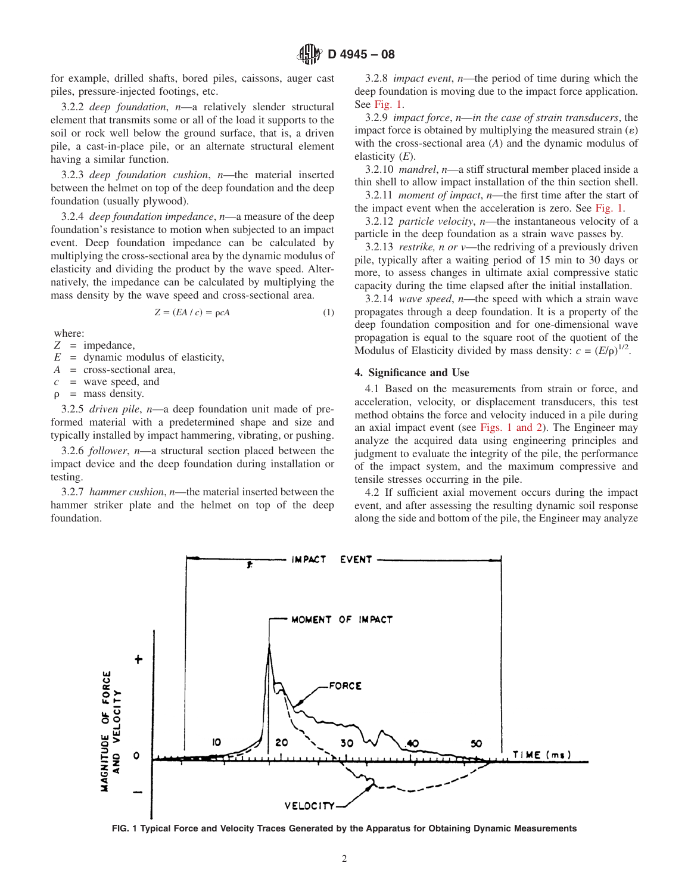for example, drilled shafts, bored piles, caissons, auger cast piles, pressure-injected footings, etc.

3.2.2 *deep foundation*, *n*—a relatively slender structural element that transmits some or all of the load it supports to the soil or rock well below the ground surface, that is, a driven pile, a cast-in-place pile, or an alternate structural element having a similar function.

3.2.3 *deep foundation cushion*, *n*—the material inserted between the helmet on top of the deep foundation and the deep foundation (usually plywood).

3.2.4 *deep foundation impedance*, *n*—a measure of the deep foundation's resistance to motion when subjected to an impact event. Deep foundation impedance can be calculated by multiplying the cross-sectional area by the dynamic modulus of elasticity and dividing the product by the wave speed. Alternatively, the impedance can be calculated by multiplying the mass density by the wave speed and cross-sectional area.

$$
Z = (EA / c) = \rho cA \tag{1}
$$

where:

*Z* = impedance,

 $E =$  dynamic modulus of elasticity,

*A* = cross-sectional area,

*c* = wave speed, and

 $\rho$  = mass density.

3.2.5 *driven pile*, *n*—a deep foundation unit made of preformed material with a predetermined shape and size and typically installed by impact hammering, vibrating, or pushing.

3.2.6 *follower*, *n*—a structural section placed between the impact device and the deep foundation during installation or testing.

3.2.7 *hammer cushion*, *n*—the material inserted between the hammer striker plate and the helmet on top of the deep foundation.

3.2.8 *impact event*, *n*—the period of time during which the deep foundation is moving due to the impact force application. See [Fig. 1.](#page-1-0)

3.2.9 *impact force*, *n*—*in the case of strain transducers*, the impact force is obtained by multiplying the measured strain  $(\varepsilon)$ with the cross-sectional area (*A*) and the dynamic modulus of elasticity (*E*).

3.2.10 *mandrel*, *n*—a stiff structural member placed inside a thin shell to allow impact installation of the thin section shell.

3.2.11 *moment of impact*, *n*—the first time after the start of the impact event when the acceleration is zero. See [Fig. 1.](#page-1-0)

3.2.12 *particle velocity*, *n*—the instantaneous velocity of a particle in the deep foundation as a strain wave passes by.

3.2.13 *restrike, n or v*—the redriving of a previously driven pile, typically after a waiting period of 15 min to 30 days or more, to assess changes in ultimate axial compressive static capacity during the time elapsed after the initial installation.

3.2.14 *wave speed*, *n*—the speed with which a strain wave propagates through a deep foundation. It is a property of the deep foundation composition and for one-dimensional wave propagation is equal to the square root of the quotient of the Modulus of Elasticity divided by mass density:  $c = (E/\rho)^{1/2}$ .

#### **4. Significance and Use**

4.1 Based on the measurements from strain or force, and acceleration, velocity, or displacement transducers, this test method obtains the force and velocity induced in a pile during an axial impact event (see [Figs. 1 and 2\)](#page-1-0). The Engineer may analyze the acquired data using engineering principles and judgment to evaluate the integrity of the pile, the performance of the impact system, and the maximum compressive and tensile stresses occurring in the pile.

<span id="page-1-0"></span>4.2 If sufficient axial movement occurs during the impact event, and after assessing the resulting dynamic soil response along the side and bottom of the pile, the Engineer may analyze



**FIG. 1 Typical Force and Velocity Traces Generated by the Apparatus for Obtaining Dynamic Measurements**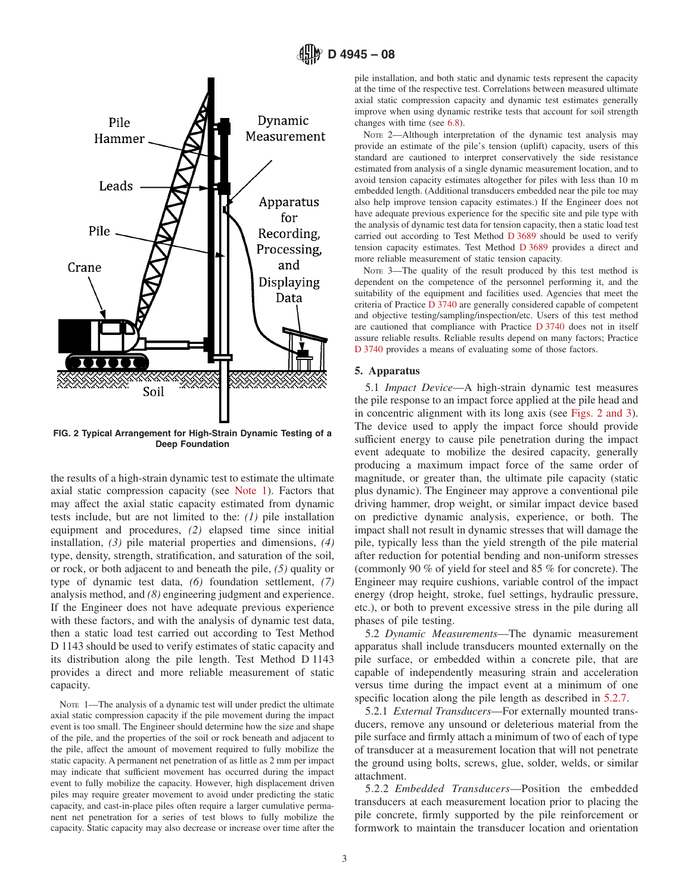

**FIG. 2 Typical Arrangement for High-Strain Dynamic Testing of a Deep Foundation**

the results of a high-strain dynamic test to estimate the ultimate axial static compression capacity (see [Note 1\)](#page-2-3). Factors that may affect the axial static capacity estimated from dynamic tests include, but are not limited to the: *(1)* pile installation equipment and procedures, *(2)* elapsed time since initial installation, *(3)* pile material properties and dimensions, *(4)* type, density, strength, stratification, and saturation of the soil, or rock, or both adjacent to and beneath the pile, *(5)* quality or type of dynamic test data, *(6)* foundation settlement, *(7)* analysis method, and *(8)* engineering judgment and experience. If the Engineer does not have adequate previous experience with these factors, and with the analysis of dynamic test data, then a static load test carried out according to Test Method D 1143 should be used to verify estimates of static capacity and its distribution along the pile length. Test Method D 1143 provides a direct and more reliable measurement of static capacity.

NOTE 1-The analysis of a dynamic test will under predict the ultimate axial static compression capacity if the pile movement during the impact event is too small. The Engineer should determine how the size and shape of the pile, and the properties of the soil or rock beneath and adjacent to the pile, affect the amount of movement required to fully mobilize the static capacity. A permanent net penetration of as little as 2 mm per impact may indicate that sufficient movement has occurred during the impact event to fully mobilize the capacity. However, high displacement driven piles may require greater movement to avoid under predicting the static capacity, and cast-in-place piles often require a larger cumulative permanent net penetration for a series of test blows to fully mobilize the capacity. Static capacity may also decrease or increase over time after the <span id="page-2-7"></span>pile installation, and both static and dynamic tests represent the capacity at the time of the respective test. Correlations between measured ultimate axial static compression capacity and dynamic test estimates generally improve when using dynamic restrike tests that account for soil strength changes with time (see [6.8\)](#page-6-2).

NOTE 2—Although interpretation of the dynamic test analysis may provide an estimate of the pile's tension (uplift) capacity, users of this standard are cautioned to interpret conservatively the side resistance estimated from analysis of a single dynamic measurement location, and to avoid tension capacity estimates altogether for piles with less than 10 m embedded length. (Additional transducers embedded near the pile toe may also help improve tension capacity estimates.) If the Engineer does not have adequate previous experience for the specific site and pile type with the analysis of dynamic test data for tension capacity, then a static load test carried out according to Test Method [D 3689](#page-2-4) should be used to verify tension capacity estimates. Test Method [D 3689](#page-0-3) provides a direct and more reliable measurement of static tension capacity.

<span id="page-2-5"></span><span id="page-2-4"></span><span id="page-2-2"></span><span id="page-2-1"></span>NOTE 3—The quality of the result produced by this test method is dependent on the competence of the personnel performing it, and the suitability of the equipment and facilities used. Agencies that meet the criteria of Practice [D 3740](#page-2-5) are generally considered capable of competent and objective testing/sampling/inspection/etc. Users of this test method are cautioned that compliance with Practice [D 3740](#page-2-6) does not in itself assure reliable results. Reliable results depend on many factors; Practice [D 3740](#page-8-0) provides a means of evaluating some of those factors.

## <span id="page-2-9"></span><span id="page-2-6"></span>**5. Apparatus**

5.1 *Impact Device*—A high-strain dynamic test measures the pile response to an impact force applied at the pile head and in concentric alignment with its long axis (see [Figs. 2 and 3\)](#page-2-7). The device used to apply the impact force should provide sufficient energy to cause pile penetration during the impact event adequate to mobilize the desired capacity, generally producing a maximum impact force of the same order of magnitude, or greater than, the ultimate pile capacity (static plus dynamic). The Engineer may approve a conventional pile driving hammer, drop weight, or similar impact device based on predictive dynamic analysis, experience, or both. The impact shall not result in dynamic stresses that will damage the pile, typically less than the yield strength of the pile material after reduction for potential bending and non-uniform stresses (commonly 90 % of yield for steel and 85 % for concrete). The Engineer may require cushions, variable control of the impact energy (drop height, stroke, fuel settings, hydraulic pressure, etc.), or both to prevent excessive stress in the pile during all phases of pile testing.

<span id="page-2-8"></span><span id="page-2-0"></span>5.2 *Dynamic Measurements*—The dynamic measurement apparatus shall include transducers mounted externally on the pile surface, or embedded within a concrete pile, that are capable of independently measuring strain and acceleration versus time during the impact event at a minimum of one specific location along the pile length as described in  $5.2.7$ .

<span id="page-2-3"></span>5.2.1 *External Transducers*—For externally mounted transducers, remove any unsound or deleterious material from the pile surface and firmly attach a minimum of two of each of type of transducer at a measurement location that will not penetrate the ground using bolts, screws, glue, solder, welds, or similar attachment.

5.2.2 *Embedded Transducers*—Position the embedded transducers at each measurement location prior to placing the pile concrete, firmly supported by the pile reinforcement or formwork to maintain the transducer location and orientation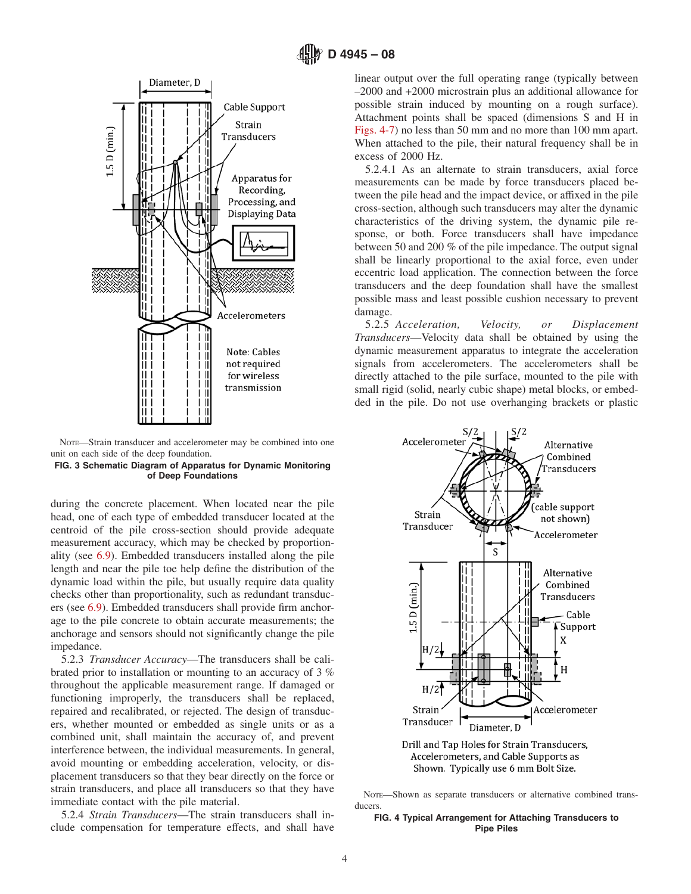

NOTE—Strain transducer and accelerometer may be combined into one unit on each side of the deep foundation.



during the concrete placement. When located near the pile head, one of each type of embedded transducer located at the centroid of the pile cross-section should provide adequate measurement accuracy, which may be checked by proportionality (see [6.9\)](#page-6-3). Embedded transducers installed along the pile length and near the pile toe help define the distribution of the dynamic load within the pile, but usually require data quality checks other than proportionality, such as redundant transducers (see [6.9\)](#page-6-3). Embedded transducers shall provide firm anchorage to the pile concrete to obtain accurate measurements; the anchorage and sensors should not significantly change the pile impedance.

5.2.3 *Transducer Accuracy*—The transducers shall be calibrated prior to installation or mounting to an accuracy of 3 % throughout the applicable measurement range. If damaged or functioning improperly, the transducers shall be replaced, repaired and recalibrated, or rejected. The design of transducers, whether mounted or embedded as single units or as a combined unit, shall maintain the accuracy of, and prevent interference between, the individual measurements. In general, avoid mounting or embedding acceleration, velocity, or displacement transducers so that they bear directly on the force or strain transducers, and place all transducers so that they have immediate contact with the pile material.

5.2.4 *Strain Transducers*—The strain transducers shall include compensation for temperature effects, and shall have <span id="page-3-1"></span>linear output over the full operating range (typically between –2000 and +2000 microstrain plus an additional allowance for possible strain induced by mounting on a rough surface). Attachment points shall be spaced (dimensions S and H in [Figs. 4-7\)](#page-3-0) no less than 50 mm and no more than 100 mm apart. When attached to the pile, their natural frequency shall be in excess of 2000 Hz.

5.2.4.1 As an alternate to strain transducers, axial force measurements can be made by force transducers placed between the pile head and the impact device, or affixed in the pile cross-section, although such transducers may alter the dynamic characteristics of the driving system, the dynamic pile response, or both. Force transducers shall have impedance between 50 and 200 % of the pile impedance. The output signal shall be linearly proportional to the axial force, even under eccentric load application. The connection between the force transducers and the deep foundation shall have the smallest possible mass and least possible cushion necessary to prevent damage.

<span id="page-3-3"></span>5.2.5 *Acceleration, Velocity, or Displacement Transducers*—Velocity data shall be obtained by using the dynamic measurement apparatus to integrate the acceleration signals from accelerometers. The accelerometers shall be directly attached to the pile surface, mounted to the pile with small rigid (solid, nearly cubic shape) metal blocks, or embedded in the pile. Do not use overhanging brackets or plastic

<span id="page-3-0"></span>

<span id="page-3-2"></span>Drill and Tap Holes for Strain Transducers, Accelerometers, and Cable Supports as Shown. Typically use 6 mm Bolt Size.

#### **FIG. 4 Typical Arrangement for Attaching Transducers to Pipe Piles**

NOTE—Shown as separate transducers or alternative combined transducers.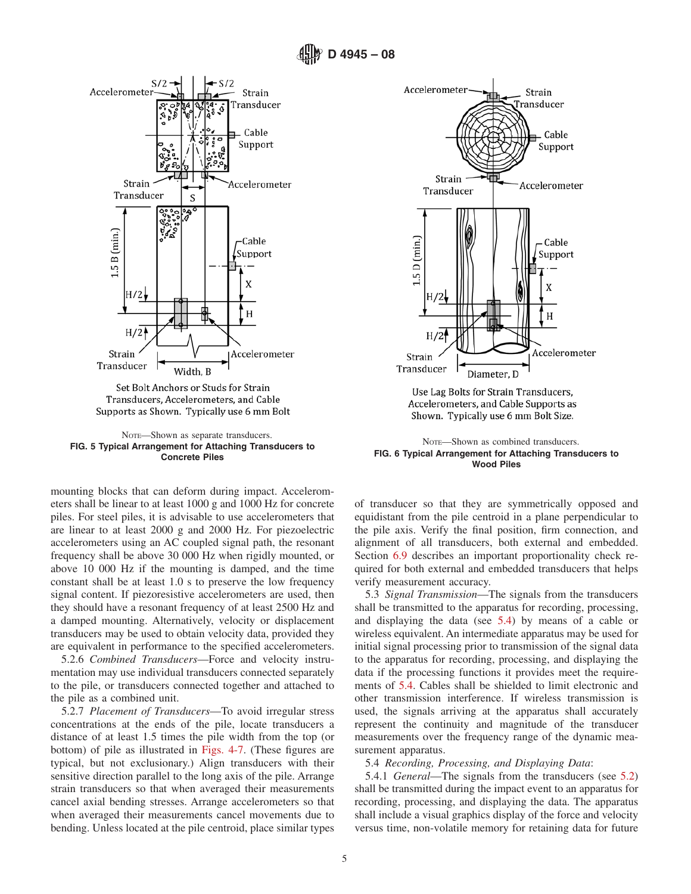**D 4945 – 08**



Set Bolt Anchors or Studs for Strain Transducers, Accelerometers, and Cable Supports as Shown. Typically use 6 mm Bolt

NOTE—Shown as separate transducers. **FIG. 5 Typical Arrangement for Attaching Transducers to Concrete Piles**

mounting blocks that can deform during impact. Accelerometers shall be linear to at least 1000 g and 1000 Hz for concrete piles. For steel piles, it is advisable to use accelerometers that are linear to at least 2000 g and 2000 Hz. For piezoelectric accelerometers using an AC coupled signal path, the resonant frequency shall be above 30 000 Hz when rigidly mounted, or above 10 000 Hz if the mounting is damped, and the time constant shall be at least 1.0 s to preserve the low frequency signal content. If piezoresistive accelerometers are used, then they should have a resonant frequency of at least 2500 Hz and a damped mounting. Alternatively, velocity or displacement transducers may be used to obtain velocity data, provided they are equivalent in performance to the specified accelerometers.

5.2.6 *Combined Transducers*—Force and velocity instrumentation may use individual transducers connected separately to the pile, or transducers connected together and attached to the pile as a combined unit.

5.2.7 *Placement of Transducers*—To avoid irregular stress concentrations at the ends of the pile, locate transducers a distance of at least 1.5 times the pile width from the top (or bottom) of pile as illustrated in [Figs. 4-7.](#page-3-0) (These figures are typical, but not exclusionary.) Align transducers with their sensitive direction parallel to the long axis of the pile. Arrange strain transducers so that when averaged their measurements cancel axial bending stresses. Arrange accelerometers so that when averaged their measurements cancel movements due to bending. Unless located at the pile centroid, place similar types



Use Lag Bolts for Strain Transducers, Accelerometers, and Cable Supports as Shown. Typically use 6 mm Bolt Size.

NOTE—Shown as combined transducers. **FIG. 6 Typical Arrangement for Attaching Transducers to Wood Piles**

of transducer so that they are symmetrically opposed and equidistant from the pile centroid in a plane perpendicular to the pile axis. Verify the final position, firm connection, and alignment of all transducers, both external and embedded. Section [6.9](#page-6-3) describes an important proportionality check required for both external and embedded transducers that helps verify measurement accuracy.

5.3 *Signal Transmission*—The signals from the transducers shall be transmitted to the apparatus for recording, processing, and displaying the data (see [5.4\)](#page-4-1) by means of a cable or wireless equivalent. An intermediate apparatus may be used for initial signal processing prior to transmission of the signal data to the apparatus for recording, processing, and displaying the data if the processing functions it provides meet the requirements of [5.4.](#page-4-1) Cables shall be shielded to limit electronic and other transmission interference. If wireless transmission is used, the signals arriving at the apparatus shall accurately represent the continuity and magnitude of the transducer measurements over the frequency range of the dynamic measurement apparatus.

<span id="page-4-1"></span><span id="page-4-0"></span>5.4 *Recording, Processing, and Displaying Data*:

5.4.1 *General*—The signals from the transducers (see [5.2\)](#page-2-8) shall be transmitted during the impact event to an apparatus for recording, processing, and displaying the data. The apparatus shall include a visual graphics display of the force and velocity versus time, non-volatile memory for retaining data for future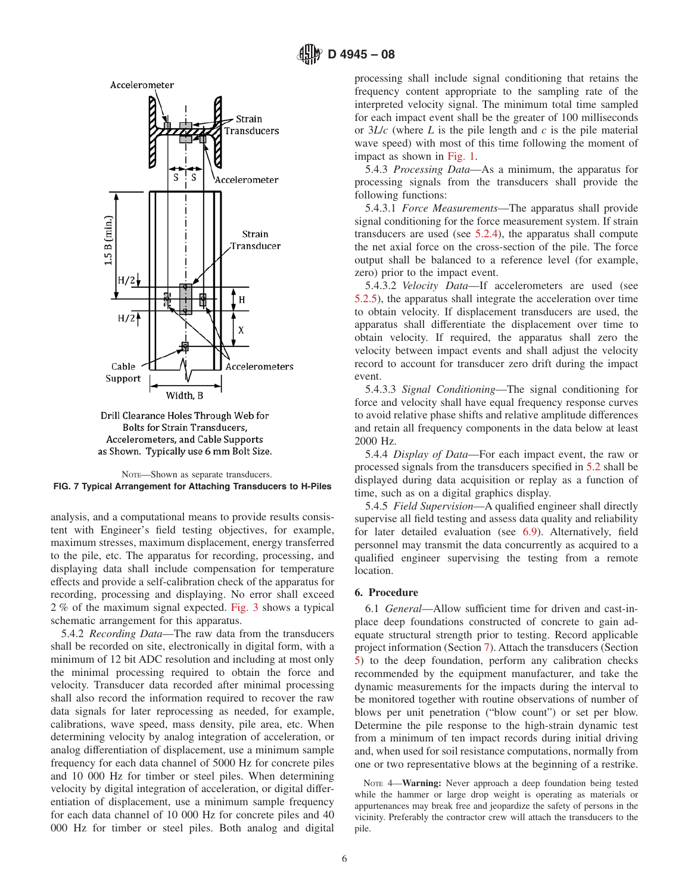





analysis, and a computational means to provide results consistent with Engineer's field testing objectives, for example, maximum stresses, maximum displacement, energy transferred to the pile, etc. The apparatus for recording, processing, and displaying data shall include compensation for temperature effects and provide a self-calibration check of the apparatus for recording, processing and displaying. No error shall exceed 2 % of the maximum signal expected. [Fig. 3](#page-3-1) shows a typical schematic arrangement for this apparatus.

5.4.2 *Recording Data*—The raw data from the transducers shall be recorded on site, electronically in digital form, with a minimum of 12 bit ADC resolution and including at most only the minimal processing required to obtain the force and velocity. Transducer data recorded after minimal processing shall also record the information required to recover the raw data signals for later reprocessing as needed, for example, calibrations, wave speed, mass density, pile area, etc. When determining velocity by analog integration of acceleration, or analog differentiation of displacement, use a minimum sample frequency for each data channel of 5000 Hz for concrete piles and 10 000 Hz for timber or steel piles. When determining velocity by digital integration of acceleration, or digital differentiation of displacement, use a minimum sample frequency for each data channel of 10 000 Hz for concrete piles and 40 000 Hz for timber or steel piles. Both analog and digital processing shall include signal conditioning that retains the frequency content appropriate to the sampling rate of the interpreted velocity signal. The minimum total time sampled for each impact event shall be the greater of 100 milliseconds or 3*L*/*c* (where *L* is the pile length and *c* is the pile material wave speed) with most of this time following the moment of impact as shown in [Fig. 1.](#page-1-0)

5.4.3 *Processing Data*—As a minimum, the apparatus for processing signals from the transducers shall provide the following functions:

5.4.3.1 *Force Measurements*—The apparatus shall provide signal conditioning for the force measurement system. If strain transducers are used (see [5.2.4\)](#page-3-2), the apparatus shall compute the net axial force on the cross-section of the pile. The force output shall be balanced to a reference level (for example, zero) prior to the impact event.

5.4.3.2 *Velocity Data*—If accelerometers are used (see [5.2.5\)](#page-3-3), the apparatus shall integrate the acceleration over time to obtain velocity. If displacement transducers are used, the apparatus shall differentiate the displacement over time to obtain velocity. If required, the apparatus shall zero the velocity between impact events and shall adjust the velocity record to account for transducer zero drift during the impact event.

5.4.3.3 *Signal Conditioning*—The signal conditioning for force and velocity shall have equal frequency response curves to avoid relative phase shifts and relative amplitude differences and retain all frequency components in the data below at least 2000 Hz.

<span id="page-5-2"></span>5.4.4 *Display of Data*—For each impact event, the raw or processed signals from the transducers specified in [5.2](#page-2-8) shall be displayed during data acquisition or replay as a function of time, such as on a digital graphics display.

5.4.5 *Field Supervision*—A qualified engineer shall directly supervise all field testing and assess data quality and reliability for later detailed evaluation (see [6.9\)](#page-6-3). Alternatively, field personnel may transmit the data concurrently as acquired to a qualified engineer supervising the testing from a remote location.

# **6. Procedure**

<span id="page-5-1"></span>6.1 *General*—Allow sufficient time for driven and cast-inplace deep foundations constructed of concrete to gain adequate structural strength prior to testing. Record applicable project information (Section [7\)](#page-7-0). Attach the transducers (Section [5\)](#page-2-9) to the deep foundation, perform any calibration checks recommended by the equipment manufacturer, and take the dynamic measurements for the impacts during the interval to be monitored together with routine observations of number of blows per unit penetration ("blow count") or set per blow. Determine the pile response to the high-strain dynamic test from a minimum of ten impact records during initial driving and, when used for soil resistance computations, normally from one or two representative blows at the beginning of a restrike.

<span id="page-5-0"></span>NOTE 4—**Warning:** Never approach a deep foundation being tested while the hammer or large drop weight is operating as materials or appurtenances may break free and jeopardize the safety of persons in the vicinity. Preferably the contractor crew will attach the transducers to the pile.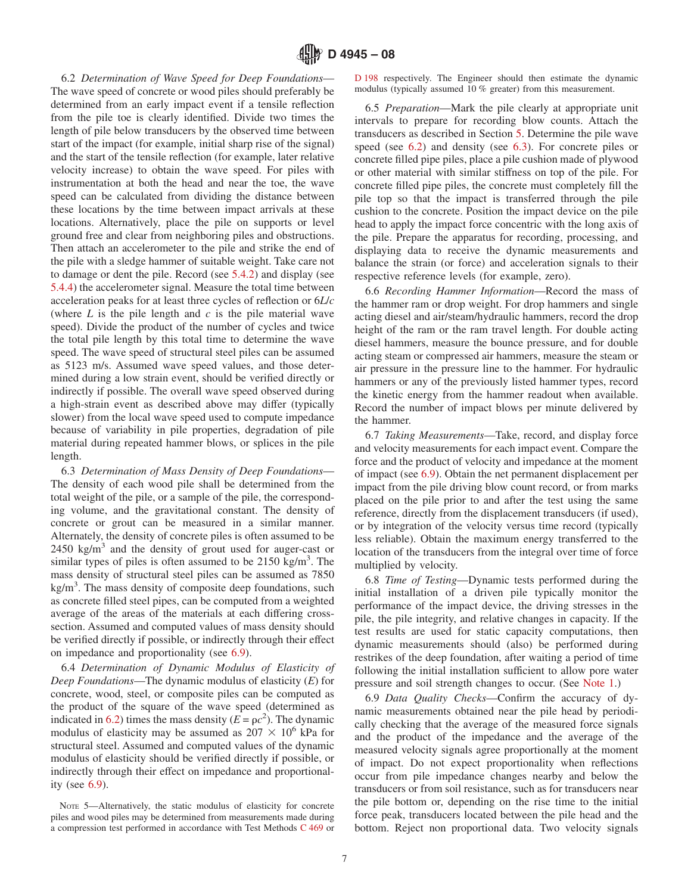6.2 *Determination of Wave Speed for Deep Foundations*— The wave speed of concrete or wood piles should preferably be determined from an early impact event if a tensile reflection from the pile toe is clearly identified. Divide two times the length of pile below transducers by the observed time between start of the impact (for example, initial sharp rise of the signal) and the start of the tensile reflection (for example, later relative velocity increase) to obtain the wave speed. For piles with instrumentation at both the head and near the toe, the wave speed can be calculated from dividing the distance between these locations by the time between impact arrivals at these locations. Alternatively, place the pile on supports or level ground free and clear from neighboring piles and obstructions. Then attach an accelerometer to the pile and strike the end of the pile with a sledge hammer of suitable weight. Take care not to damage or dent the pile. Record (see [5.4.2\)](#page-5-1) and display (see [5.4.4\)](#page-5-2) the accelerometer signal. Measure the total time between acceleration peaks for at least three cycles of reflection or 6*L*/*c* (where *L* is the pile length and *c* is the pile material wave speed). Divide the product of the number of cycles and twice the total pile length by this total time to determine the wave speed. The wave speed of structural steel piles can be assumed as 5123 m/s. Assumed wave speed values, and those determined during a low strain event, should be verified directly or indirectly if possible. The overall wave speed observed during a high-strain event as described above may differ (typically slower) from the local wave speed used to compute impedance because of variability in pile properties, degradation of pile material during repeated hammer blows, or splices in the pile length.

6.3 *Determination of Mass Density of Deep Foundations*— The density of each wood pile shall be determined from the total weight of the pile, or a sample of the pile, the corresponding volume, and the gravitational constant. The density of concrete or grout can be measured in a similar manner. Alternately, the density of concrete piles is often assumed to be  $2450 \text{ kg/m}^3$  and the density of grout used for auger-cast or similar types of piles is often assumed to be  $2150 \text{ kg/m}^3$ . The mass density of structural steel piles can be assumed as 7850 kg/m<sup>3</sup>. The mass density of composite deep foundations, such as concrete filled steel pipes, can be computed from a weighted average of the areas of the materials at each differing crosssection. Assumed and computed values of mass density should be verified directly if possible, or indirectly through their effect on impedance and proportionality (see [6.9\)](#page-6-3).

6.4 *Determination of Dynamic Modulus of Elasticity of Deep Foundations*—The dynamic modulus of elasticity (*E*) for concrete, wood, steel, or composite piles can be computed as the product of the square of the wave speed (determined as indicated in [6.2\)](#page-6-4) times the mass density ( $E = pc^2$ ). The dynamic modulus of elasticity may be assumed as  $207 \times 10^6$  kPa for structural steel. Assumed and computed values of the dynamic modulus of elasticity should be verified directly if possible, or indirectly through their effect on impedance and proportionality (see [6.9\)](#page-6-3).

NOTE 5—Alternatively, the static modulus of elasticity for concrete piles and wood piles may be determined from measurements made during a compression test performed in accordance with Test Methods [C 469](#page-0-4) or <span id="page-6-4"></span><span id="page-6-1"></span>[D 198](#page-0-5) respectively. The Engineer should then estimate the dynamic modulus (typically assumed 10 % greater) from this measurement.

6.5 *Preparation*—Mark the pile clearly at appropriate unit intervals to prepare for recording blow counts. Attach the transducers as described in Section [5.](#page-2-9) Determine the pile wave speed (see [6.2\)](#page-6-4) and density (see [6.3\)](#page-6-5). For concrete piles or concrete filled pipe piles, place a pile cushion made of plywood or other material with similar stiffness on top of the pile. For concrete filled pipe piles, the concrete must completely fill the pile top so that the impact is transferred through the pile cushion to the concrete. Position the impact device on the pile head to apply the impact force concentric with the long axis of the pile. Prepare the apparatus for recording, processing, and displaying data to receive the dynamic measurements and balance the strain (or force) and acceleration signals to their respective reference levels (for example, zero).

6.6 *Recording Hammer Information*—Record the mass of the hammer ram or drop weight. For drop hammers and single acting diesel and air/steam/hydraulic hammers, record the drop height of the ram or the ram travel length. For double acting diesel hammers, measure the bounce pressure, and for double acting steam or compressed air hammers, measure the steam or air pressure in the pressure line to the hammer. For hydraulic hammers or any of the previously listed hammer types, record the kinetic energy from the hammer readout when available. Record the number of impact blows per minute delivered by the hammer.

<span id="page-6-5"></span>6.7 *Taking Measurements*—Take, record, and display force and velocity measurements for each impact event. Compare the force and the product of velocity and impedance at the moment of impact (see [6.9\)](#page-6-3). Obtain the net permanent displacement per impact from the pile driving blow count record, or from marks placed on the pile prior to and after the test using the same reference, directly from the displacement transducers (if used), or by integration of the velocity versus time record (typically less reliable). Obtain the maximum energy transferred to the location of the transducers from the integral over time of force multiplied by velocity.

<span id="page-6-2"></span>6.8 *Time of Testing*—Dynamic tests performed during the initial installation of a driven pile typically monitor the performance of the impact device, the driving stresses in the pile, the pile integrity, and relative changes in capacity. If the test results are used for static capacity computations, then dynamic measurements should (also) be performed during restrikes of the deep foundation, after waiting a period of time following the initial installation sufficient to allow pore water pressure and soil strength changes to occur. (See [Note 1.](#page-2-3))

<span id="page-6-3"></span><span id="page-6-0"></span>6.9 *Data Quality Checks*—Confirm the accuracy of dynamic measurements obtained near the pile head by periodically checking that the average of the measured force signals and the product of the impedance and the average of the measured velocity signals agree proportionally at the moment of impact. Do not expect proportionality when reflections occur from pile impedance changes nearby and below the transducers or from soil resistance, such as for transducers near the pile bottom or, depending on the rise time to the initial force peak, transducers located between the pile head and the bottom. Reject non proportional data. Two velocity signals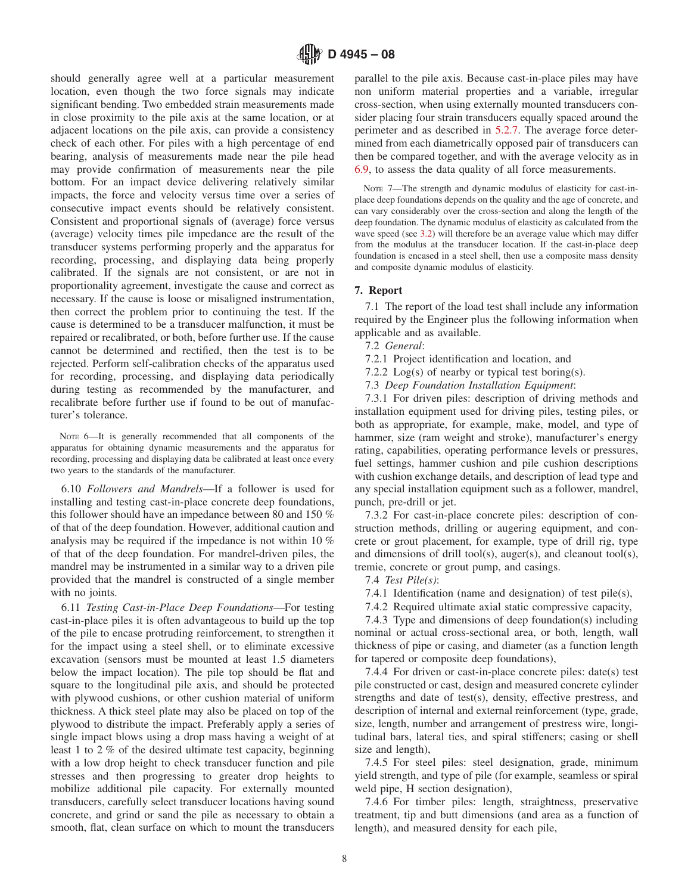should generally agree well at a particular measurement location, even though the two force signals may indicate significant bending. Two embedded strain measurements made in close proximity to the pile axis at the same location, or at adjacent locations on the pile axis, can provide a consistency check of each other. For piles with a high percentage of end bearing, analysis of measurements made near the pile head may provide confirmation of measurements near the pile bottom. For an impact device delivering relatively similar impacts, the force and velocity versus time over a series of consecutive impact events should be relatively consistent. Consistent and proportional signals of (average) force versus (average) velocity times pile impedance are the result of the transducer systems performing properly and the apparatus for recording, processing, and displaying data being properly calibrated. If the signals are not consistent, or are not in proportionality agreement, investigate the cause and correct as necessary. If the cause is loose or misaligned instrumentation, then correct the problem prior to continuing the test. If the cause is determined to be a transducer malfunction, it must be repaired or recalibrated, or both, before further use. If the cause cannot be determined and rectified, then the test is to be rejected. Perform self-calibration checks of the apparatus used for recording, processing, and displaying data periodically during testing as recommended by the manufacturer, and recalibrate before further use if found to be out of manufacturer's tolerance.

NOTE 6—It is generally recommended that all components of the apparatus for obtaining dynamic measurements and the apparatus for recording, processing and displaying data be calibrated at least once every two years to the standards of the manufacturer.

6.10 *Followers and Mandrels*—If a follower is used for installing and testing cast-in-place concrete deep foundations, this follower should have an impedance between 80 and 150 % of that of the deep foundation. However, additional caution and analysis may be required if the impedance is not within 10 % of that of the deep foundation. For mandrel-driven piles, the mandrel may be instrumented in a similar way to a driven pile provided that the mandrel is constructed of a single member with no joints.

6.11 *Testing Cast-in-Place Deep Foundations*—For testing cast-in-place piles it is often advantageous to build up the top of the pile to encase protruding reinforcement, to strengthen it for the impact using a steel shell, or to eliminate excessive excavation (sensors must be mounted at least 1.5 diameters below the impact location). The pile top should be flat and square to the longitudinal pile axis, and should be protected with plywood cushions, or other cushion material of uniform thickness. A thick steel plate may also be placed on top of the plywood to distribute the impact. Preferably apply a series of single impact blows using a drop mass having a weight of at least 1 to 2 % of the desired ultimate test capacity, beginning with a low drop height to check transducer function and pile stresses and then progressing to greater drop heights to mobilize additional pile capacity. For externally mounted transducers, carefully select transducer locations having sound concrete, and grind or sand the pile as necessary to obtain a smooth, flat, clean surface on which to mount the transducers

parallel to the pile axis. Because cast-in-place piles may have non uniform material properties and a variable, irregular cross-section, when using externally mounted transducers consider placing four strain transducers equally spaced around the perimeter and as described in [5.2.7.](#page-4-0) The average force determined from each diametrically opposed pair of transducers can then be compared together, and with the average velocity as in [6.9,](#page-6-3) to assess the data quality of all force measurements.

NOTE 7—The strength and dynamic modulus of elasticity for cast-inplace deep foundations depends on the quality and the age of concrete, and can vary considerably over the cross-section and along the length of the deep foundation. The dynamic modulus of elasticity as calculated from the wave speed (see [3.2\)](#page-0-6) will therefore be an average value which may differ from the modulus at the transducer location. If the cast-in-place deep foundation is encased in a steel shell, then use a composite mass density and composite dynamic modulus of elasticity.

# <span id="page-7-0"></span>**7. Report**

7.1 The report of the load test shall include any information required by the Engineer plus the following information when applicable and as available.

- 7.2 *General*:
- 7.2.1 Project identification and location, and
- 7.2.2 Log(s) of nearby or typical test boring(s).
- 7.3 *Deep Foundation Installation Equipment*:

7.3.1 For driven piles: description of driving methods and installation equipment used for driving piles, testing piles, or both as appropriate, for example, make, model, and type of hammer, size (ram weight and stroke), manufacturer's energy rating, capabilities, operating performance levels or pressures, fuel settings, hammer cushion and pile cushion descriptions with cushion exchange details, and description of lead type and any special installation equipment such as a follower, mandrel, punch, pre-drill or jet.

7.3.2 For cast-in-place concrete piles: description of construction methods, drilling or augering equipment, and concrete or grout placement, for example, type of drill rig, type and dimensions of drill tool(s), auger(s), and cleanout tool(s), tremie, concrete or grout pump, and casings.

- 7.4 *Test Pile(s)*:
- 7.4.1 Identification (name and designation) of test pile(s),
- 7.4.2 Required ultimate axial static compressive capacity,

7.4.3 Type and dimensions of deep foundation(s) including nominal or actual cross-sectional area, or both, length, wall thickness of pipe or casing, and diameter (as a function length for tapered or composite deep foundations),

7.4.4 For driven or cast-in-place concrete piles: date(s) test pile constructed or cast, design and measured concrete cylinder strengths and date of test(s), density, effective prestress, and description of internal and external reinforcement (type, grade, size, length, number and arrangement of prestress wire, longitudinal bars, lateral ties, and spiral stiffeners; casing or shell size and length),

7.4.5 For steel piles: steel designation, grade, minimum yield strength, and type of pile (for example, seamless or spiral weld pipe, H section designation),

7.4.6 For timber piles: length, straightness, preservative treatment, tip and butt dimensions (and area as a function of length), and measured density for each pile,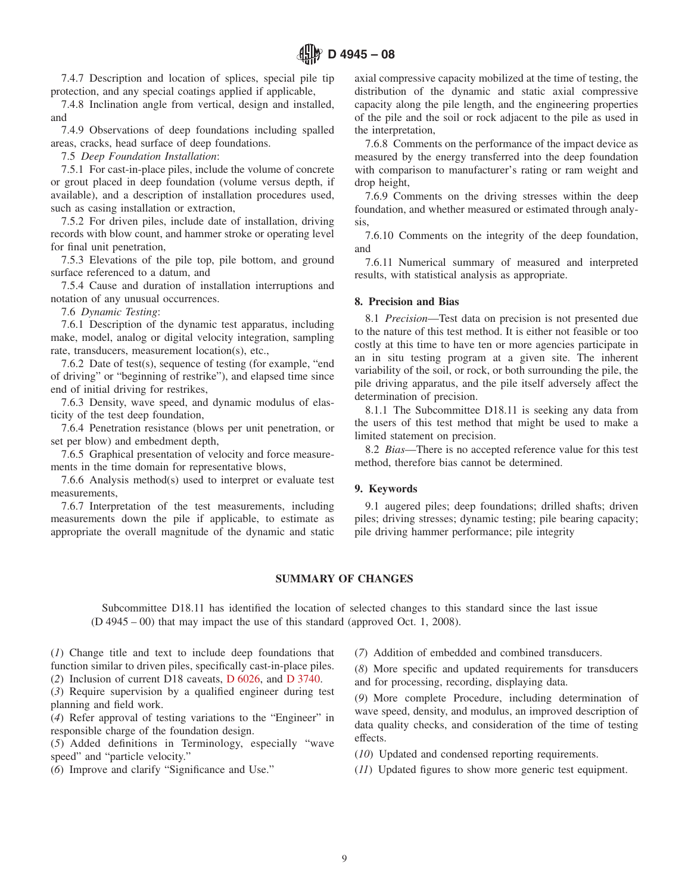7.4.7 Description and location of splices, special pile tip protection, and any special coatings applied if applicable,

7.4.8 Inclination angle from vertical, design and installed, and

7.4.9 Observations of deep foundations including spalled areas, cracks, head surface of deep foundations.

7.5 *Deep Foundation Installation*:

7.5.1 For cast-in-place piles, include the volume of concrete or grout placed in deep foundation (volume versus depth, if available), and a description of installation procedures used, such as casing installation or extraction,

7.5.2 For driven piles, include date of installation, driving records with blow count, and hammer stroke or operating level for final unit penetration,

7.5.3 Elevations of the pile top, pile bottom, and ground surface referenced to a datum, and

7.5.4 Cause and duration of installation interruptions and notation of any unusual occurrences.

7.6 *Dynamic Testing*:

7.6.1 Description of the dynamic test apparatus, including make, model, analog or digital velocity integration, sampling rate, transducers, measurement location(s), etc.,

7.6.2 Date of test(s), sequence of testing (for example, "end of driving" or "beginning of restrike"), and elapsed time since end of initial driving for restrikes,

7.6.3 Density, wave speed, and dynamic modulus of elasticity of the test deep foundation,

7.6.4 Penetration resistance (blows per unit penetration, or set per blow) and embedment depth,

7.6.5 Graphical presentation of velocity and force measurements in the time domain for representative blows,

7.6.6 Analysis method(s) used to interpret or evaluate test measurements,

7.6.7 Interpretation of the test measurements, including measurements down the pile if applicable, to estimate as appropriate the overall magnitude of the dynamic and static axial compressive capacity mobilized at the time of testing, the distribution of the dynamic and static axial compressive capacity along the pile length, and the engineering properties of the pile and the soil or rock adjacent to the pile as used in the interpretation,

7.6.8 Comments on the performance of the impact device as measured by the energy transferred into the deep foundation with comparison to manufacturer's rating or ram weight and drop height,

7.6.9 Comments on the driving stresses within the deep foundation, and whether measured or estimated through analysis,

7.6.10 Comments on the integrity of the deep foundation, and

7.6.11 Numerical summary of measured and interpreted results, with statistical analysis as appropriate.

#### **8. Precision and Bias**

8.1 *Precision*—Test data on precision is not presented due to the nature of this test method. It is either not feasible or too costly at this time to have ten or more agencies participate in an in situ testing program at a given site. The inherent variability of the soil, or rock, or both surrounding the pile, the pile driving apparatus, and the pile itself adversely affect the determination of precision.

8.1.1 The Subcommittee D18.11 is seeking any data from the users of this test method that might be used to make a limited statement on precision.

8.2 *Bias*—There is no accepted reference value for this test method, therefore bias cannot be determined.

## **9. Keywords**

9.1 augered piles; deep foundations; drilled shafts; driven piles; driving stresses; dynamic testing; pile bearing capacity; pile driving hammer performance; pile integrity

## **SUMMARY OF CHANGES**

Subcommittee D18.11 has identified the location of selected changes to this standard since the last issue (D 4945 – 00) that may impact the use of this standard (approved Oct. 1, 2008).

(*1*) Change title and text to include deep foundations that function similar to driven piles, specifically cast-in-place piles. (*2*) Inclusion of current D18 caveats, [D 6026,](#page-0-7) and [D 3740.](#page-0-8)

(*3*) Require supervision by a qualified engineer during test planning and field work.

(*4*) Refer approval of testing variations to the "Engineer" in responsible charge of the foundation design.

(*5*) Added definitions in Terminology, especially "wave speed" and "particle velocity."

(*6*) Improve and clarify "Significance and Use."

(*7*) Addition of embedded and combined transducers.

<span id="page-8-0"></span>(*8*) More specific and updated requirements for transducers and for processing, recording, displaying data.

(*9*) More complete Procedure, including determination of wave speed, density, and modulus, an improved description of data quality checks, and consideration of the time of testing effects.

- (*10*) Updated and condensed reporting requirements.
- (*11*) Updated figures to show more generic test equipment.